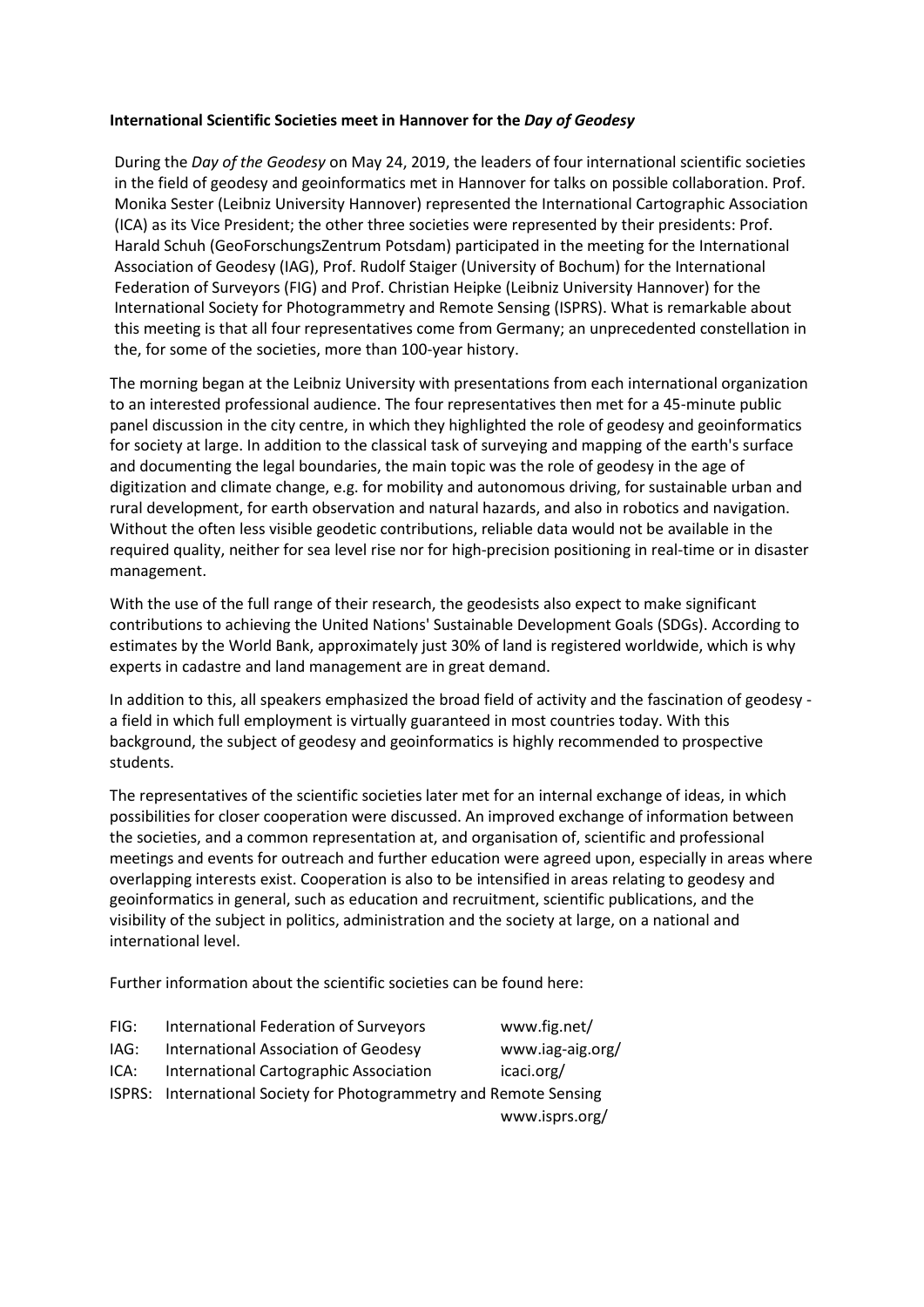## **International Scientific Societies meet in Hannover for the** *Day of Geodesy*

During the *Day of the Geodesy* on May 24, 2019, the leaders of four international scientific societies in the field of geodesy and geoinformatics met in Hannover for talks on possible collaboration. Prof. Monika Sester (Leibniz University Hannover) represented the International Cartographic Association (ICA) as its Vice President; the other three societies were represented by their presidents: Prof. Harald Schuh (GeoForschungsZentrum Potsdam) participated in the meeting for the International Association of Geodesy (IAG), Prof. Rudolf Staiger (University of Bochum) for the International Federation of Surveyors (FIG) and Prof. Christian Heipke (Leibniz University Hannover) for the International Society for Photogrammetry and Remote Sensing (ISPRS). What is remarkable about this meeting is that all four representatives come from Germany; an unprecedented constellation in the, for some of the societies, more than 100-year history.

The morning began at the Leibniz University with presentations from each international organization to an interested professional audience. The four representatives then met for a 45-minute public panel discussion in the city centre, in which they highlighted the role of geodesy and geoinformatics for society at large. In addition to the classical task of surveying and mapping of the earth's surface and documenting the legal boundaries, the main topic was the role of geodesy in the age of digitization and climate change, e.g. for mobility and autonomous driving, for sustainable urban and rural development, for earth observation and natural hazards, and also in robotics and navigation. Without the often less visible geodetic contributions, reliable data would not be available in the required quality, neither for sea level rise nor for high-precision positioning in real-time or in disaster management.

With the use of the full range of their research, the geodesists also expect to make significant contributions to achieving the United Nations' Sustainable Development Goals (SDGs). According to estimates by the World Bank, approximately just 30% of land is registered worldwide, which is why experts in cadastre and land management are in great demand.

In addition to this, all speakers emphasized the broad field of activity and the fascination of geodesy a field in which full employment is virtually guaranteed in most countries today. With this background, the subject of geodesy and geoinformatics is highly recommended to prospective students.

The representatives of the scientific societies later met for an internal exchange of ideas, in which possibilities for closer cooperation were discussed. An improved exchange of information between the societies, and a common representation at, and organisation of, scientific and professional meetings and events for outreach and further education were agreed upon, especially in areas where overlapping interests exist. Cooperation is also to be intensified in areas relating to geodesy and geoinformatics in general, such as education and recruitment, scientific publications, and the visibility of the subject in politics, administration and the society at large, on a national and international level.

Further information about the scientific societies can be found here:

| FIG: | International Federation of Surveyors                              | www.fig.net/     |
|------|--------------------------------------------------------------------|------------------|
| IAG: | International Association of Geodesy                               | www.iag-aig.org/ |
| ICA: | International Cartographic Association                             | icaci.org/       |
|      | ISPRS: International Society for Photogrammetry and Remote Sensing |                  |
|      |                                                                    | www.isprs.org/   |